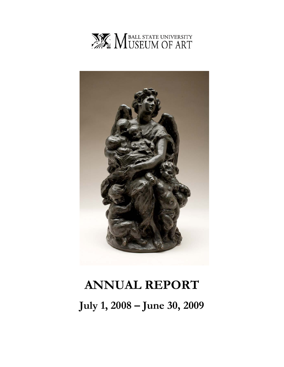



# **ANNUAL REPORT July 1, 2008 – June 30, 2009**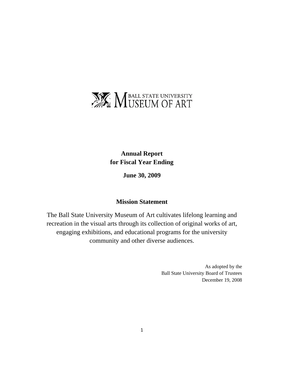

**Annual Report for Fiscal Year Ending** 

**June 30, 2009** 

## **Mission Statement**

The Ball State University Museum of Art cultivates lifelong learning and recreation in the visual arts through its collection of original works of art, engaging exhibitions, and educational programs for the university community and other diverse audiences.

> As adopted by the Ball State University Board of Trustees December 19, 2008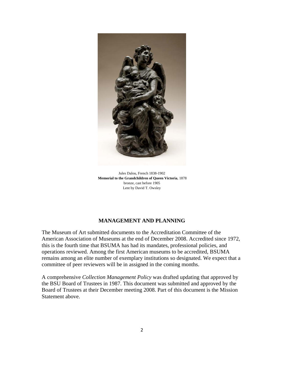

Jules Dalou, French 1838-1902 **Memorial to the Grandchildren of Queen Victoria**, 1878 bronze, cast before 1905 Lent by David T. Owsley

## **MANAGEMENT AND PLANNING**

The Museum of Art submitted documents to the Accreditation Committee of the American Association of Museums at the end of December 2008. Accredited since 1972, this is the fourth time that BSUMA has had its mandates, professional policies, and operations reviewed. Among the first American museums to be accredited, BSUMA remains among an elite number of exemplary institutions so designated. We expect that a committee of peer reviewers will be in assigned in the coming months.

A comprehensive *Collection Management Policy* was drafted updating that approved by the BSU Board of Trustees in 1987. This document was submitted and approved by the Board of Trustees at their December meeting 2008. Part of this document is the Mission Statement above.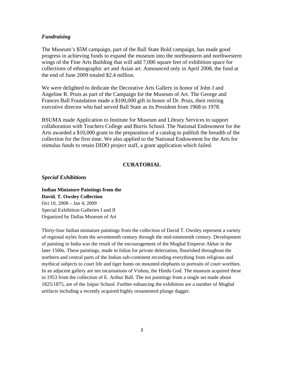#### *Fundraising*

The Museum's \$5M campaign, part of the Ball State Bold campaign, has made good progress in achieving funds to expand the museum into the northeastern and northwestern wings of the Fine Arts Building that will add 7,000 square feet of exhibition space for collections of ethnographic art and Asian art. Announced only in April 2008, the fund at the end of June 2009 totaled \$2.4 million.

We were delighted to dedicate the Decorative Arts Gallery in honor of John J and Angeline R. Pruis as part of the Campaign for the Museum of Art. The George and Frances Ball Foundation made a \$100,000 gift in honor of Dr. Pruis, their retiring executive director who had served Ball State as its President from 1968 to 1978.

BSUMA made Application to Institute for Museum and Library Services to support collaboration with Teachers College and Burris School. The National Endowment for the Arts awarded a \$10,000 grant to the preparation of a catalog to publish the breadth of the collection for the first time. We also applied to the National Endowment for the Arts for stimulus funds to retain DIDO project staff, a grant application which failed.

## **CURATORIAL**

#### *Special Exhibitions*

**Indian Miniature Paintings from the David. T. Owsley Collection**  Oct 10, 2008 – Jan 4, 2009 Special Exhibition Galleries I and II Organized by Dallas Museum of Art

Thirty-four Indian miniature paintings from the collection of David T. Owsley represent a variety of regional styles from the seventeenth century through the mid-nineteenth century. Development of painting in India was the result of the encouragement of the Mughal Emperor Akbar in the later 1500s. These paintings, made in folios for private delectation, flourished throughout the northern and central parts of the Indian sub-continent recording everything from religious and mythical subjects to court life and tiger hunts on mounted elephants to portraits of court worthies. In an adjacent gallery are ten incarnations of Vishnu, the Hindu God. The museum acquired these in 1953 from the collection of E. Arthur Ball. The ten paintings from a single set made about 1825/1875, are of the Jaipur School. Further enhancing the exhibition are a number of Mughal artifacts including a recently acquired highly ornamented plunge dagger.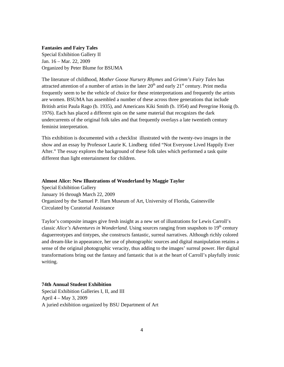#### **Fantasies and Fairy Tales**

Special Exhibition Gallery II Jan. 16 – Mar. 22, 2009 Organized by Peter Blume for BSUMA

The literature of childhood, *Mother Goose Nursery Rhymes* and *Grimm's Fairy Tales* has attracted attention of a number of artists in the later  $20<sup>th</sup>$  and early  $21<sup>st</sup>$  century. Print media frequently seem to be the vehicle of choice for these reinterpretations and frequently the artists are women. BSUMA has assembled a number of these across three generations that include British artist Paula Rago (b. 1935), and Americans Kiki Smith (b. 1954) and Peregrine Honig (b. 1976). Each has placed a different spin on the same material that recognizes the dark undercurrents of the original folk tales and that frequently overlays a late twentieth century feminist interpretation.

This exhibition is documented with a checklist illustrated with the twenty-two images in the show and an essay by Professor Laurie K. Lindberg titled "Not Everyone Lived Happily Ever After." The essay explores the background of these folk tales which performed a task quite different than light entertainment for children.

#### **Almost Alice: New Illustrations of Wonderland by Maggie Taylor**

Special Exhibition Gallery January 16 through March 22, 2009 Organized by the Samuel P. Harn Museum of Art, University of Florida, Gainesville Circulated by Curatorial Assistance

Taylor's composite images give fresh insight as a new set of illustrations for Lewis Carroll's classic *Alice's Adventures in Wonderland*. Using sources ranging from snapshots to 19<sup>th</sup> century daguerreotypes and tintypes, she constructs fantastic, surreal narratives. Although richly colored and dream-like in appearance, her use of photographic sources and digital manipulation retains a sense of the original photographic veracity, thus adding to the images' surreal power. Her digital transformations bring out the fantasy and fantastic that is at the heart of Carroll's playfully ironic writing.

#### **74th Annual Student Exhibition**

Special Exhibition Galleries I, II, and III April 4 – May 3, 2009 A juried exhibition organized by BSU Department of Art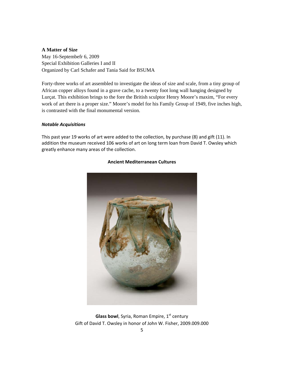## **A Matter of Size**

May 16-Septembefr 6, 2009 Special Exhibition Galleries I and II Organized by Carl Schafer and Tania Said for BSUMA

Forty-three works of art assembled to investigate the ideas of size and scale, from a tiny group of African copper alloys found in a grave cache, to a twenty foot long wall hanging designed by Lurçat. This exhibition brings to the fore the British sculptor Henry Moore's maxim, "For every work of art there is a proper size." Moore's model for his Family Group of 1949, five inches high, is contrasted with the final monumental version.

#### *Notable Acquisitions*

This past year 19 works of art were added to the collection, by purchase (8) and gift (11). In addition the museum received 106 works of art on long term loan from David T. Owsley which greatly enhance many areas of the collection.



#### **Ancient Mediterranean Cultures**

**Glass bowl**, Syria, Roman Empire, 1<sup>st</sup> century Gift of David T. Owsley in honor of John W. Fisher, 2009.009.000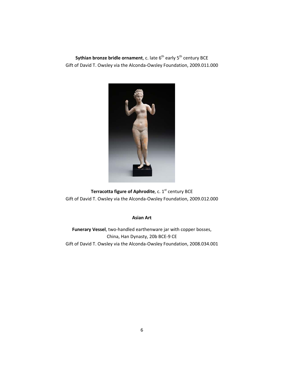**Sythian bronze bridle ornament**, c. late 6<sup>th</sup> early 5<sup>th</sup> century BCE Gift of David T. Owsley via the Alconda‐Owsley Foundation, 2009.011.000



**Terracotta figure of Aphrodite**, c. 1<sup>st</sup> century BCE Gift of David T. Owsley via the Alconda‐Owsley Foundation, 2009.012.000

### **Asian Art**

**Funerary Vessel**, two‐handled earthenware jar with copper bosses, China, Han Dynasty, 20b BCE‐9 CE Gift of David T. Owsley via the Alconda‐Owsley Foundation, 2008.034.001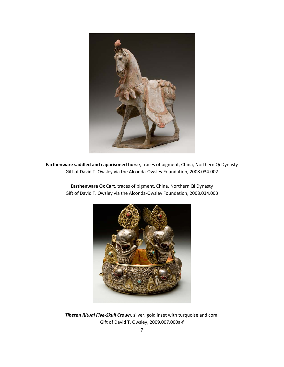

**Earthenware saddled and caparisoned horse**, traces of pigment, China, Northern Qi Dynasty Gift of David T. Owsley via the Alconda‐Owsley Foundation, 2008.034.002

> **Earthenware Ox Cart**, traces of pigment, China, Northern Qi Dynasty Gift of David T. Owsley via the Alconda‐Owsley Foundation, 2008.034.003



*Tibetan Ritual Five‐Skull Crown*, silver, gold inset with turquoise and coral Gift of David T. Owsley, 2009.007.000a‐f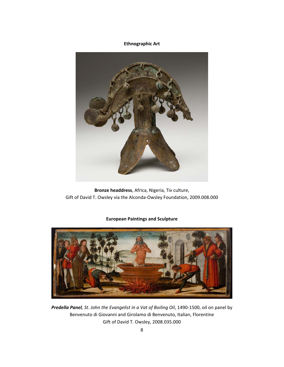## **Ethnographic Art**



**Bronze headdress**, Africa, Nigeria, Tiv culture, Gift of David T. Owsley via the Alconda‐Owsley Foundation, 2009.008.000

## **European Paintings and Sculpture**



*Predella Panel, St. John the Evangelist in a Vat of Boiling Oil*, 1490‐1500, oil on panel by Benvenuto di Giovanni and Girolamo di Benvenuto, Italian, Florentine Gift of David T. Owsley, 2008.035.000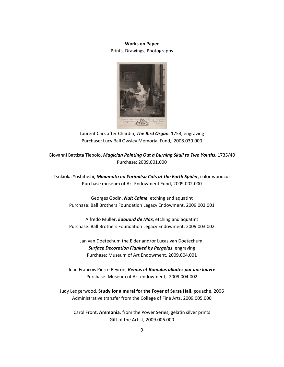## **Works on Paper** Prints, Drawings, Photographs



Laurent Cars after Chardin, *The Bird Organ*, 1753, engraving Purchase: Lucy Ball Owsley Memorial Fund, 2008.030.000

Giovanni Battista Tiepolo, *Magician Pointing Out a Burning Skull to Two Youths*, 1735/40 Purchase: 2009.001.000

Tsukioka Yoshitoshi, *Minamoto no Yorimitsu Cuts at the Earth Spider*, color woodcut Purchase museum of Art Endowment Fund, 2009.002.000

Georges Godin, *Nuit Calme*, etching and aquatint Purchase: Ball Brothers Foundation Legacy Endowment, 2009.003.001

Alfredo Muller, *Edouard de Max*, etching and aquatint Purchase: Ball Brothers Foundation Legacy Endowment, 2009.003.002

Jan van Doetechum the Elder and/or Lucas van Doetechum, *Surface Decoration Flanked by Pergolas*, engraving Purchase: Museum of Art Endowment, 2009.004.001

Jean Francois Pierre Peyron, *Remus et Romulus allaites par une louvre* Purchase: Museum of Art endowment, 2009.004.002

Judy Ledgerwood, **Study for a mural for the Foyer of Sursa Hall**, gouache, 2006 Administrative transfer from the College of Fine Arts, 2009.005.000

Carol Front, **Ammonia**, from the Power Series, gelatin silver prints Gift of the Artist, 2009.006.000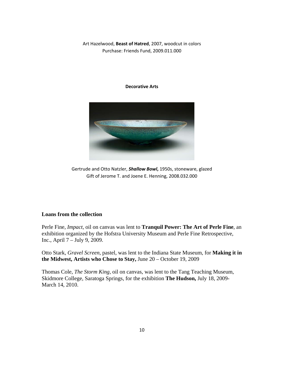Art Hazelwood, **Beast of Hatred**, 2007, woodcut in colors Purchase: Friends Fund, 2009.011.000

#### **Decorative Arts**



Gertrude and Otto Natzler, *Shallow Bowl***,** 1950s, stoneware, glazed Gift of Jerome T. and Joene E. Henning, 2008.032.000

## **Loans from the collection**

Perle Fine, *Impact,* oil on canvas was lent to **Tranquil Power: The Art of Perle Fine**, an exhibition organized by the Hofstra University Museum and Perle Fine Retrospective, Inc., April 7 – July 9, 2009.

Otto Stark, *Gravel Screen*, pastel, was lent to the Indiana State Museum, for **Making it in the Midwest, Artists who Chose to Stay,** June 20 – October 19, 2009

Thomas Cole, *The Storm King,* oil on canvas, was lent to the Tang Teaching Museum, Skidmore College, Saratoga Springs, for the exhibition **The Hudson,** July 18, 2009- March 14, 2010.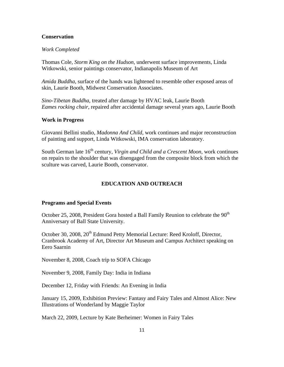## **Conservation**

#### *Work Completed*

Thomas Cole, *Storm King on the Hudson*, underwent surface improvements, Linda Witkowski, senior paintings conservator, Indianapolis Museum of Art

*Amida Buddha*, surface of the hands was lightened to resemble other exposed areas of skin, Laurie Booth, Midwest Conservation Associates.

*Sino-Tibetan Buddha,* treated after damage by HVAC leak, Laurie Booth *Eames rocking chair,* repaired after accidental damage several years ago, Laurie Booth

### **Work in Progress**

Giovanni Bellini studio, *Madonna And Child,* work continues and major reconstruction of painting and support, Linda Witkowski, IMA conservation laboratory.

South German late 16<sup>th</sup> century, *Virgin and Child and a Crescent Moon*, work continues on repairs to the shoulder that was disengaged from the composite block from which the sculture was carved, Laurie Booth, conservator.

## **EDUCATION AND OUTREACH**

#### **Programs and Special Events**

October 25, 2008, President Gora hosted a Ball Family Reunion to celebrate the  $90<sup>th</sup>$ Anniversary of Ball State University.

October 30, 2008, 20<sup>th</sup> Edmund Petty Memorial Lecture: Reed Kroloff, Director, Cranbrook Academy of Art, Director Art Museum and Campus Architect speaking on Eero Saarnin

November 8, 2008, Coach trip to SOFA Chicago

November 9, 2008, Family Day: India in Indiana

December 12, Friday with Friends: An Evening in India

January 15, 2009, Exhibition Preview: Fantasy and Fairy Tales and Almost Alice: New Illustrations of Wonderland by Maggie Taylor

March 22, 2009, Lecture by Kate Berheimer: Women in Fairy Tales